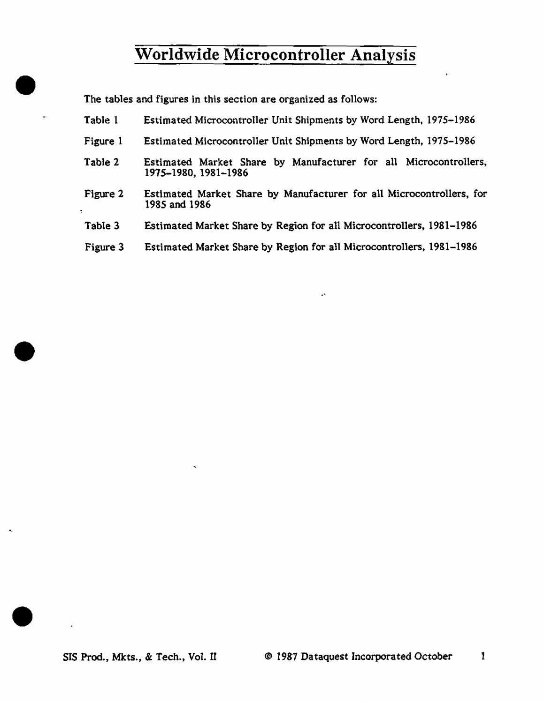The tables and figures in this section are organized as follows:

 $\bullet$ 

•

•

 $\bullet$ 

| Table 1  | Estimated Microcontroller Unit Shipments by Word Length, 1975-1986                       |
|----------|------------------------------------------------------------------------------------------|
| Figure 1 | Estimated Microcontroller Unit Shipments by Word Length, 1975–1986                       |
| Table 2  | Estimated Market Share by Manufacturer for all Microcontrollers,<br>1975–1980, 1981–1986 |
| Figure 2 | Estimated Market Share by Manufacturer for all Microcontrollers, for<br>1985 and 1986    |
| Table 3  | Estimated Market Share by Region for all Microcontrollers, 1981–1986                     |
| Figure 3 | Estimated Market Share by Region for all Microcontrollers, 1981–1986                     |
|          |                                                                                          |

 $\mathbb{Z}^2$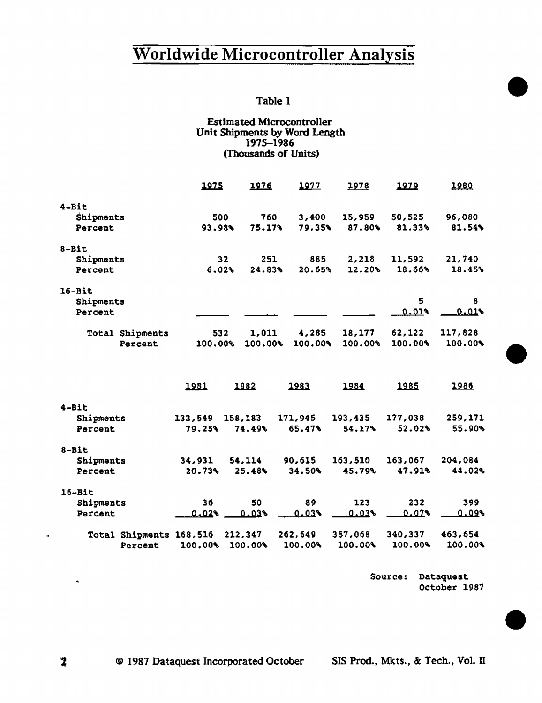### Table 1

#### Estimated Microcontroller Unit Shipments by Word Length 1975-1986 (Thousands of Units)

|                         | 1975            |     | 1976    | 1977    | 1978    | 1979    | 1980    |
|-------------------------|-----------------|-----|---------|---------|---------|---------|---------|
| $4 - B1t$               |                 |     |         |         |         |         |         |
| Shipments               | 500             |     | 760     | 3,400   | 15,959  | 50,525  | 96,080  |
| Percent                 | 93.98%          |     | 75.17%  | 79.35%  | 87.80%  | 81.33%  | 81.54%  |
| 8-Bit                   |                 |     |         |         |         |         |         |
| Shipments               | 32 <sub>2</sub> |     | 251     | 885     | 2,218   | 11,592  | 21,740  |
| Percent                 | 6.02%           |     | 24.83%  | 20.65%  | 12.20%  | 18.66%  | 18.45%  |
| 16-Bit                  |                 |     |         |         |         |         |         |
| Shipments               |                 |     |         |         |         | 5       | 8       |
| Percent                 |                 |     |         |         |         | 0.01%   | 0.018   |
| <b>Total Shipments</b>  |                 | 532 | 1,011   | 4,285   | 18,177  | 62,122  | 117,828 |
| Percent                 | 100.00%         |     | 100.00% | 100.00% | 100.00% | 100.00% | 100.00% |
|                         | 1981            |     | 1982    | 1983    | 1984    | 1985    | 1986    |
| $4 - B1t$               |                 |     |         |         |         |         |         |
| Shipments               | 133,549         |     | 158,183 | 171,945 | 193,435 | 177,038 | 259,171 |
| Percent                 | 79.25%          |     | 74.49%  | 65.47%  | 54.17%  | 52.02%  | 55.90%  |
| $8 - B1t$               |                 |     |         |         |         |         |         |
| Shipments               | 34,931          |     | 54,114  | 90,615  | 163,510 | 163,067 | 204,084 |
| Percent                 | 20.73%          |     | 25.48%  | 34.50%  | 45.79%  | 47.91%  | 44.02%  |
| 16-Bit                  |                 |     |         |         |         |         |         |
| Shipments               | 36              |     | 50      | 89      | 123     | 232     | 399     |
| Percent                 | 0.029           |     | 0.03    | 0.03%   | $0.03*$ | 0.07%   | 0.09    |
| Total Shipments 168,516 |                 |     | 212,347 | 262,649 | 357,068 | 340,337 | 463,654 |
| Percent                 | 100.00%         |     | 100.00% | 100.00% | 100.00% | 100.00% | 100.00% |

Source: Dataquest October 1987 •

•

•

-2

 $\mathcal{P}_1$ 

 $\overline{a}$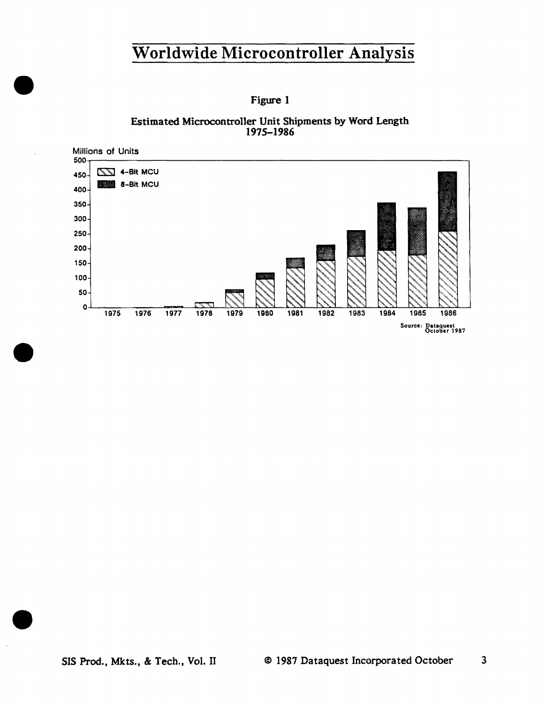Figure 1

Estimated Microcontroller Unit Shipments by Word Length 1975-1986

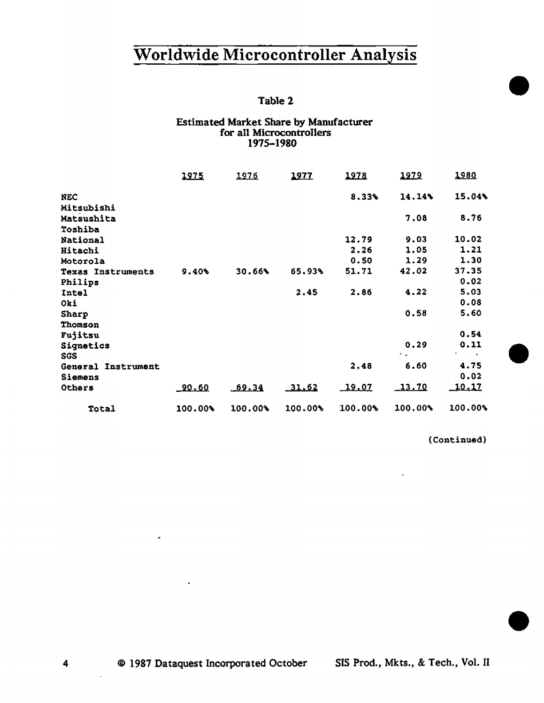# Worldwide Microcontroller Analysis Table 2<br>
t Share by Manyfacturer

#### Estimated Market Share by Manufacturer for all Microcontrollers 1975-1980

|                                     | 1975         | 1976     | 1977    | 1978    | 1979                | 1980           |  |
|-------------------------------------|--------------|----------|---------|---------|---------------------|----------------|--|
| <b>NEC</b>                          |              |          |         | 8.33%   | 14.14%              | 15.04%         |  |
| Mitsubishi<br>Matsushita<br>Toshiba |              |          |         |         | 7.08                | 8.76           |  |
| <b>National</b>                     |              |          |         | 12.79   | 9.03                | 10.02          |  |
| Hitachi                             |              |          |         | 2.26    | 1.05                | 1.21           |  |
| Motorola                            |              |          |         | 0.50    | 1.29                | 1.30           |  |
| <b>Texas Instruments</b>            | 9.40%        | 30.66%   | 65.93%  | 51.71   | 42.02               | 37.35          |  |
| Philips                             |              |          |         |         |                     | 0.02           |  |
| Intel                               |              |          | 2.45    | 2.86    | 4.22                | 5.03           |  |
| Oki                                 |              |          |         |         |                     | 0.08           |  |
| Sharp                               |              |          |         |         | 0.58                | 5.60           |  |
| Thomson<br>Fujitsu                  |              |          |         |         |                     | 0.54           |  |
| Signetics                           |              |          |         |         | 0.29                | 0, 11          |  |
| SGS                                 |              |          |         |         | $\sigma_{\rm{max}}$ | <b>Provide</b> |  |
| General Instrument                  |              |          |         | 2.48    | 6.60                | 4.75           |  |
| Siemens                             |              |          |         |         |                     | 0.02           |  |
| Others                              | <u>90.60</u> | $-69.34$ | 11.62   | 19.07   | 13.70               | <u> 10.17</u>  |  |
| Total                               | $100.00*$    | 100.00%  | 100.00% | 100.00% | 100.00%             | 100.00%        |  |

(Continued)

•

4 © 1987 Dataquest Incorporated October SIS Prod., Mkts., & Tech., Vol. II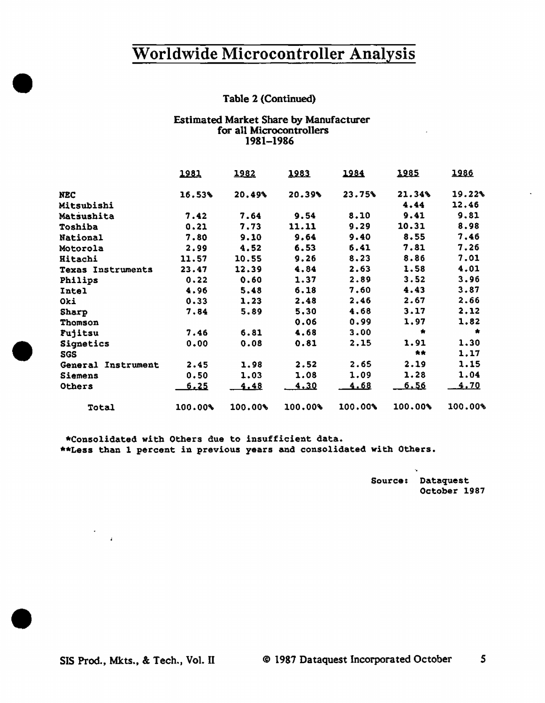#### Table 2 (Continued)

#### Estimated Market Share by Manufacturer for all Microcontrollers 1981-1986

|                    | 1981        | 1982      | 1983        | 1984    | 1985        | 1986      |
|--------------------|-------------|-----------|-------------|---------|-------------|-----------|
| <b>NEC</b>         | 16.53%      | 20.49%    | 20.39%      | 23.75%  | 21.34%      | 19.22%    |
| Mitsubishi         |             |           |             |         | 4.44        | 12.46     |
| Matsushita         | 7.42        | 7.64      | 9.54        | 8.10    | 9.41        | 9.81      |
| Toshiba            | 0.21        | 7.73      | 11.11       | 9.29    | 10.31       | 8.98      |
| National           | 7.80        | 9.10      | 9.64        | 9.40    | 8.55        | 7.46      |
| Motorola           | 2.99        | 4.52      | 6.53        | 6.41    | 7.81        | 7.26      |
| Hitachi            | 11.57       | 10.55     | 9.26        | 8.23    | 8.86        | 7.01      |
| Texas Instruments  | 23.47       | 12.39     | 4.84        | 2.63    | 1.58        | 4.01      |
| Philips            | 0.22        | 0.60      | 1.37        | 2.89    | 3.52        | 3.96      |
| Intel              | 4.96        | 5.48      | 6.18        | 7.60    | 4.43        | 3.87      |
| Oki                | 0.33        | 1,23      | 2.48        | 2.46    | 2.67        | 2.66      |
| Sharp              | 7.84        | 5.89      | 5,30        | 4.68    | 3.17        | 2,12      |
| Thomson            |             |           | 0.06        | 0.99    | 1.97        | 1.82      |
| Fujitsu            | 7.46        | 6.81      | 4.68        | 3.00    | $\bullet$   | $\bullet$ |
| Signetics          | 0.00        | 0.08      | 0.81        | 2.15    | 1.91        | 1.30      |
| <b>SGS</b>         |             |           |             |         | 大大          | 1.17      |
| General Instrument | 2.45        | 1.98      | 2.52        | 2.65    | 2.19        | 1.15      |
| Siemens            | 0.50        | 1.03      | 1.08        | 1.09    | 1.28        | 1.04      |
| Others             | <u>6.25</u> | 4.48      | <u>4.30</u> | 4.68    | <u>6.56</u> | 4.70      |
| Total              | 100.00%     | $100.00*$ | 100.00      | 100.00% | 100.00%     | 100.00%   |

\*Consolidated with Others due to insufficient data. \*\*Less than 1 percent in previous years and consolidated with Others.

> Source: Dataquest October 1987

 $\mathbf{u}$  .

•

•

•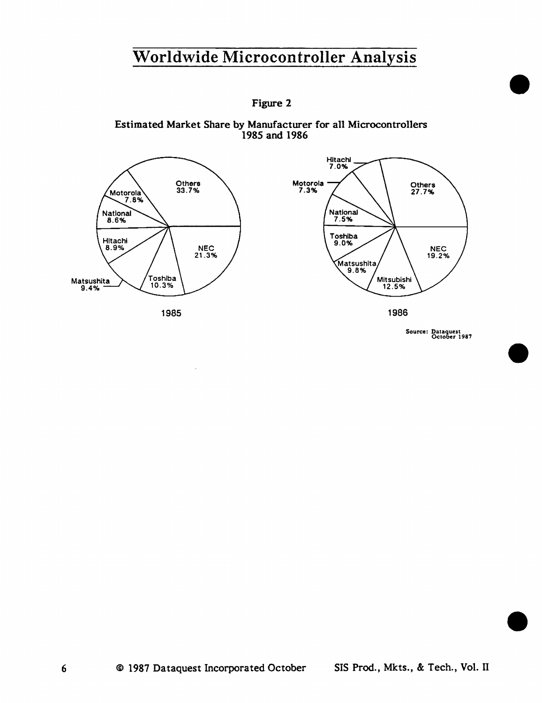

Estimated Market Share by Manufacturer for all Microcontrollers 1985 and 1986



Source: Dataquest October 1987

•

•

•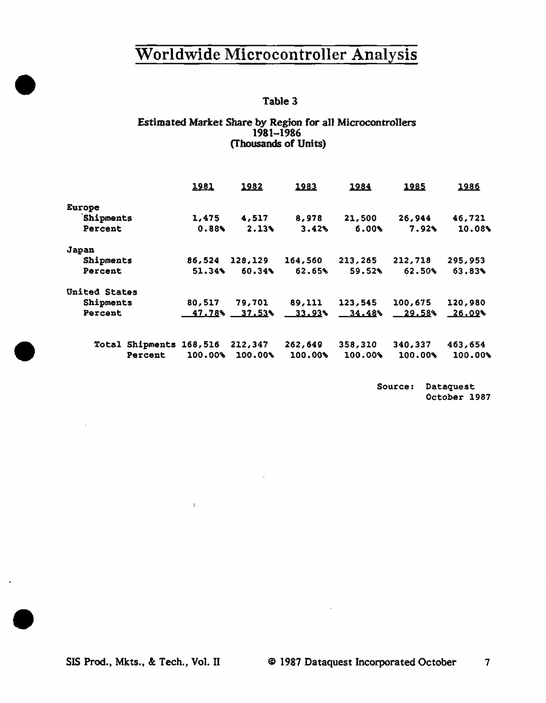### Table 3

#### Estimated Market Share by Region for all Microcontrollers 1981-1986 (Thousands of Units)

|                      |                         | 1981    | 1982             | 1983      | 1984       | 1985      | 1986                  |
|----------------------|-------------------------|---------|------------------|-----------|------------|-----------|-----------------------|
| Europe               |                         |         |                  |           |            |           |                       |
| Shipments            |                         | 1,475   | 4,517            | 8,978     | 21,500     | 26,944    | 46,721                |
| Percent              |                         | 0.88%   | 2.13%            | 3.42%     | 6.00%      | 7.92%     | 10.08%                |
| Japan                |                         |         |                  |           |            |           |                       |
| Shipments            |                         | 86,524  | 128,129          | 164,560   | 213,265    | 212,718   | 295,953               |
| Percent              |                         | 51.34%  | 60.34%           | 62.65%    | 59.52%     | 62.50%    | 63.83%                |
| <b>United States</b> |                         |         |                  |           |            |           |                       |
| <b>Shipments</b>     |                         | 80,517  | 79,701           | 89,111    | 123,545    | 100,675   | 120,980               |
| Percent              |                         |         | $47.78\%$ 37.53% | $-33.93*$ | $-34.48\%$ | $-29.58%$ | $-26.09$ <sup>6</sup> |
|                      | Total Shipments 168,516 |         | 212,347          | 262,649   | 358,310    | 340,337   | 463,654               |
|                      | Percent                 | 100.00% | 100.00%          | 100.00%   | 100.00%    | 100.00%   | 100.00%               |

Source: Dataquest October 1987

 $\mathbf{I}$ 

•

•

•